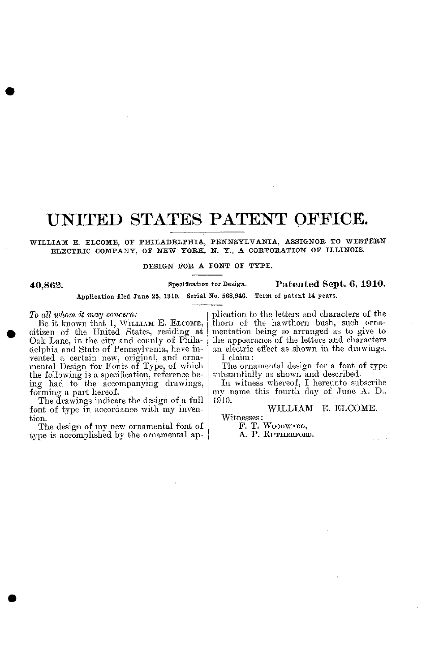# UNITED STATES PATENT OFFICE.

### WILLIAM E. ELCOME, OF PHILADELPHIA, PENNSYLVANIA, ASSIGNOR TO WESTERN ELECTRIC COMPANY, OF NEW YORK, N. Y., A CORPORATION OF ILLINOIS.

DESIGN FOR A FONT OF TYPE.

#### 40,862.

Specification for Design.

#### Patented Sept. 6, 1910.

Application filed June 25, 1910. Serial No. 568,946. Term of patent 14 years.

To all whom it may concern:

Be it known that I, WILLIAM E. ELCOME, citizen of the United States, residing at Oak Lane, in the city and county of Philadelphia and State of Pennsylvania, have invented a certain new, original, and orna-<br>mental Design for Fonts of Type, of which the following is a specification, reference being had to the accompanying drawings, forming a part hereof.

The drawings indicate the design of a full font of type in accordance with my invention.

The design of my new ornamental font of type is accomplished by the ornamental ap- $\vert$ 

plication to the letters and characters of the thorn of the hawthorn bush, such ornamentation being so arranged as to give to the appearance of the letters and characters an electric effect as shown in the drawings. I claim:

The ornamental design for a font of type substantially as shown and described.

In witness whereof, I hereunto subscribe my name this fourth day of June A. D., 1910.

## WILLIAM E. ELCOME.

Witnesses:<br>F. T. WOODWARD,<br>A. P. RUTHERFORD.